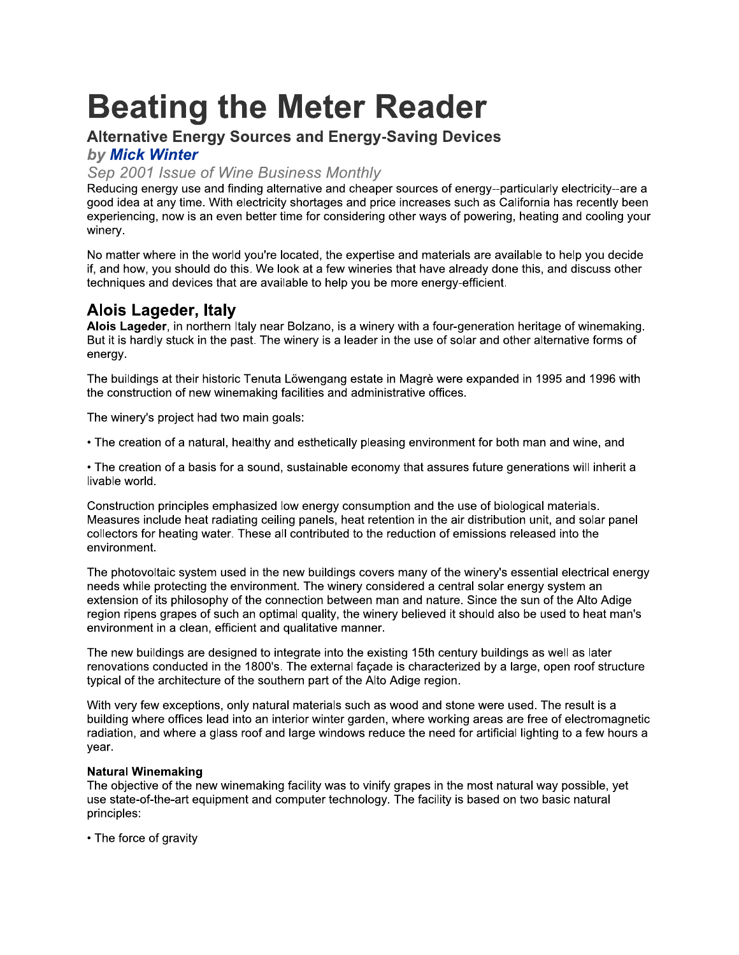# **Beating the Meter Reader**<br>Alternative Energy Sources and Energy-Saving Devices

# rnative Energy Sources and Energy-Saving Devices

# by Mick Winter<br>Sep 2001 Issue of Wine Business Monthly

Branchive Energy Sources and Energy-Saving Devices<br>
by Mick Winter<br>
Sep 2001 Issue of Wine Business Monthly<br>
Reducing anergy use and finding attenative and cheaper sources of energy-particularly electricity-are a<br>
good ide good idea at any time. With electricity shortages and price increases such as California has recently been experiencing, now is an even better time for considering other ways of powering, heating and cooling your winery.

No matter where in the world you're located, the expertise and materials are available to help you decide if, and how, you should do this. We look at a few wineries that have already done this, and discuss other techniques and devices that are available to help you be more energy-efficient.

# Alois Lageder, Italy<br>...

Alois Lageder, in northern Italy hear Bolzano, is a winery with a four-generation neritage of winemaking. But it is hardly stuck in the past. The winery is a leader in the use of solar and other alternative forms of energy.

The buildings at their historic Tenuta Löwengang estate in Magrè were expanded in 1995 and 1996 with the construction of new winemaking facilities and administrative offices.

The winery's project had two main goals:

• The creation of a natural, healthy and esthetically pleasing environment for both man and wine, and

• The creation of a basis for a sound, sustainable economy that assures future generations will inherit a livable world.

Construction principles emphasized low energy consumption and the use of biological materials. Measures include heat radiating ceiling panels, heat retention in the air distribution unit, and solar panel collectors for heating water. These all contributed to the reduction of emissions released into the environment.

The photovoltaic system used in the new buildings covers many of the winery's essential electrical energy needs while protecting the environment. The winery considered a central solar energy system an extension of its philosophy of the connection between man and nature. Since the sun of the Alto Adige region ripens grapes of such an optimal quality, the winery believed it should also be used to heat man's environment in a clean, efficient and qualitative manner.

The new buildings are designed to integrate into the existing 15th century buildings as well as later renovations conducted in the 1800's. The external façade is characterized by a large, open roof structure typical of the architecture of the southern part of the Alto Adige region.

With very few exceptions, only natural materials such as wood and stone were used. The result is a building where offices lead into an interior winter garden, where working areas are free of electromagnetic radiation, and where a glass roof and large windows reduce the need for artificial lighting to a few hours a year.

# pq-rs

The objective of the new winemaking facility was to vinify grapes in the most natural way possible, yet use state-of-the-art equipment and computer technology. The facility is based on two basic natural principles:

• The force of gravity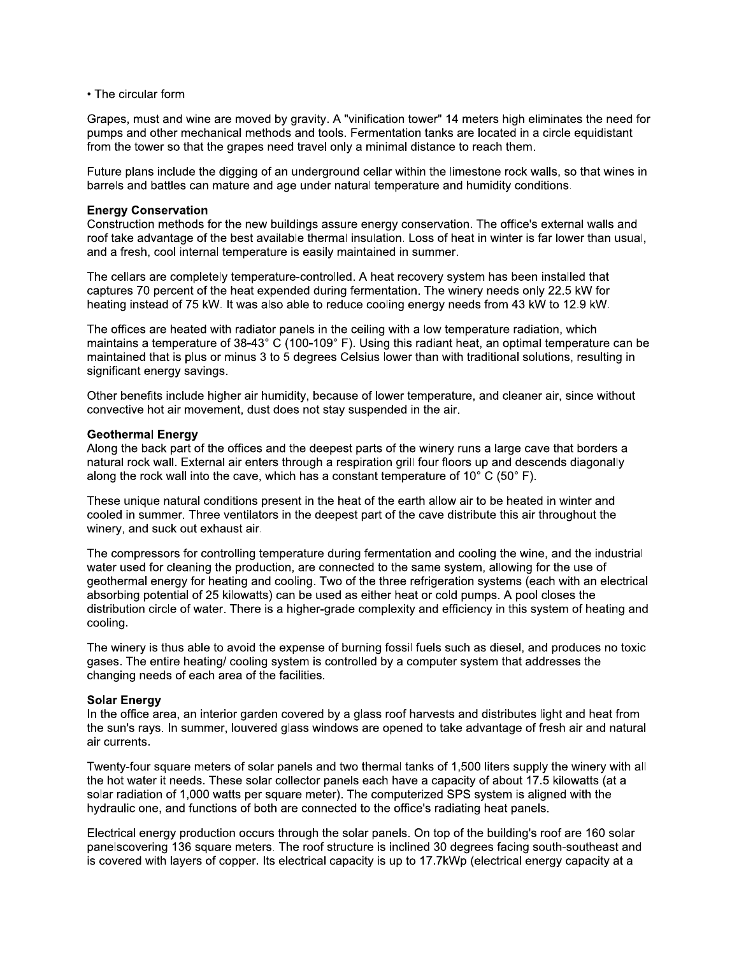• The circular form

Grapes, must and wine are moved by gravity. A "vinification tower" 14 meters high eliminates the need for pumps and other mechanical methods and tools. Fermentation tanks are located in a circle equidistant from the tower so that the grapes need travel only a minimal distance to reach them.

Future plans include the digging of an underground cellar within the limestone rock walls, so that wines in barrels and battles can mature and age under natural temperature and humidity conditions.

#### **Energy Conservation**

Construction methods for the new buildings assure energy conservation. The office's external walls and roof take advantage of the best available thermal insulation. Loss of heat in winter is far lower than usual, and a fresh, cool internal temperature is easily maintained in summer.

The cellars are completely temperature-controlled. A heat recovery system has been installed that captures 70 percent of the heat expended during fermentation. The winery needs only 22.5 kW for heating instead of 75 kW. It was also able to reduce cooling energy needs from 43 kW to 12.9 kW.

The offices are heated with radiator panels in the ceiling with a low temperature radiation, which maintains a temperature of 38-43° C (100-109° F). Using this radiant heat, an optimal temperature can be maintained that is plus or minus 3 to 5 degrees Celsius lower than with traditional solutions, resulting in significant energy savings.

Other benefits include higher air humidity, because of lower temperature, and cleaner air, since without convective hot air movement, dust does not stay suspended in the air.

#### **Geothermal Energy**

Along the back part of the offices and the deepest parts of the winery runs a large cave that borders a natural rock wall. External air enters through a respiration grill four floors up and descends diagonally along the rock wall into the cave, which has a constant temperature of 10 $^{\circ}$  C (50 $^{\circ}$  F).

These unique natural conditions present in the heat of the earth allow air to be heated in winter and cooled in summer. Three ventilators in the deepest part of the cave distribute this air throughout the winery, and suck out exhaust air.

The compressors for controlling temperature during fermentation and cooling the wine, and the industrial water used for cleaning the production, are connected to the same system, allowing for the use of geothermal energy for heating and cooling. Two of the three refrigeration systems (each with an electrical absorbing potential of 25 kilowatts) can be used as either heat or cold pumps. A pool closes the distribution circle of water. There is a higher-grade complexity and efficiency in this system of heating and cooling.

The winery is thus able to avoid the expense of burning fossil fuels such as diesel, and produces no toxic gases. The entire heating/ cooling system is controlled by a computer system that addresses the changing needs of each area of the facilities.

#### **Solar Energy**

In the office area, an interior garden covered by a glass roof harvests and distributes light and heat from the sun's rays. In summer, louvered glass windows are opened to take advantage of fresh air and natural air currents.

Twenty-four square meters of solar panels and two thermal tanks of 1,500 liters supply the winery with all the hot water it needs. These solar collector panels each have a capacity of about 17.5 kilowatts (at a solar radiation of 1,000 watts per square meter). The computerized SPS system is aligned with the hydraulic one, and functions of both are connected to the office's radiating heat panels.

Electrical energy production occurs through the solar panels. On top of the building's roof are 160 solar panelscovering 136 square meters. The roof structure is inclined 30 degrees facing south-southeast and is covered with layers of copper. Its electrical capacity is up to 17.7kWp (electrical energy capacity at a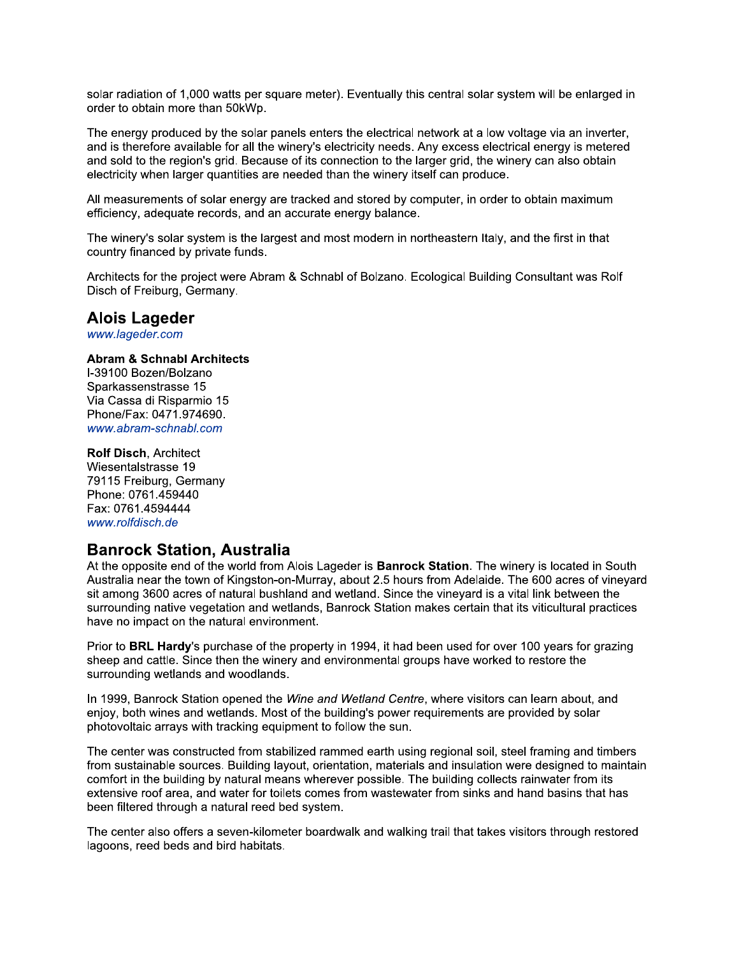solar radiation of 1,000 watts per square meter). Eventually this central solar system will be enlarged in order to obtain more than 50kWp.

The energy produced by the solar panels enters the electrical network at a low voltage via an inverter, and is therefore available for all the winery's electricity needs. Any excess electrical energy is metered and sold to the region's grid. Because of its connection to the larger grid, the winery can also obtain electricity when larger quantities are needed than the winery itself can produce.

All measurements of solar energy are tracked and stored by computer, in order to obtain maximum efficiency, adequate records, and an accurate energy balance.

The winery's solar system is the largest and most modern in northeastern Italy, and the first in that country financed by private funds.

Architects for the project were Abram & Schnabl of Bolzano. Ecological Building Consultant was Rolf Disch of Freiburg, Germany.

#### **Alois Lageder**

www.lageder.com

#### **Abram & Schnabl Architects**

I-39100 Bozen/Bolzano Sparkassenstrasse 15 Via Cassa di Risparmio 15 Phone/Fax: 0471.974690. www.abram-schnabl.com

**Rolf Disch. Architect** Wiesentalstrasse 19 79115 Freiburg, Germany Phone: 0761.459440 Fax: 0761.4594444 www.rolfdisch.de

## **Banrock Station, Australia**

At the opposite end of the world from Alois Lageder is **Banrock Station**. The winery is located in South Australia near the town of Kingston-on-Murray, about 2.5 hours from Adelaide. The 600 acres of vinevard sit among 3600 acres of natural bushland and wetland. Since the vineyard is a vital link between the surrounding native vegetation and wetlands, Banrock Station makes certain that its viticultural practices have no impact on the natural environment.

Prior to BRL Hardy's purchase of the property in 1994, it had been used for over 100 years for grazing sheep and cattle. Since then the winery and environmental groups have worked to restore the surrounding wetlands and woodlands.

In 1999, Banrock Station opened the Wine and Wetland Centre, where visitors can learn about, and enjoy, both wines and wetlands. Most of the building's power requirements are provided by solar photovoltaic arrays with tracking equipment to follow the sun.

The center was constructed from stabilized rammed earth using regional soil, steel framing and timbers from sustainable sources. Building layout, orientation, materials and insulation were designed to maintain comfort in the building by natural means wherever possible. The building collects rainwater from its extensive roof area, and water for toilets comes from wastewater from sinks and hand basins that has been filtered through a natural reed bed system.

The center also offers a seven-kilometer boardwalk and walking trail that takes visitors through restored lagoons, reed beds and bird habitats.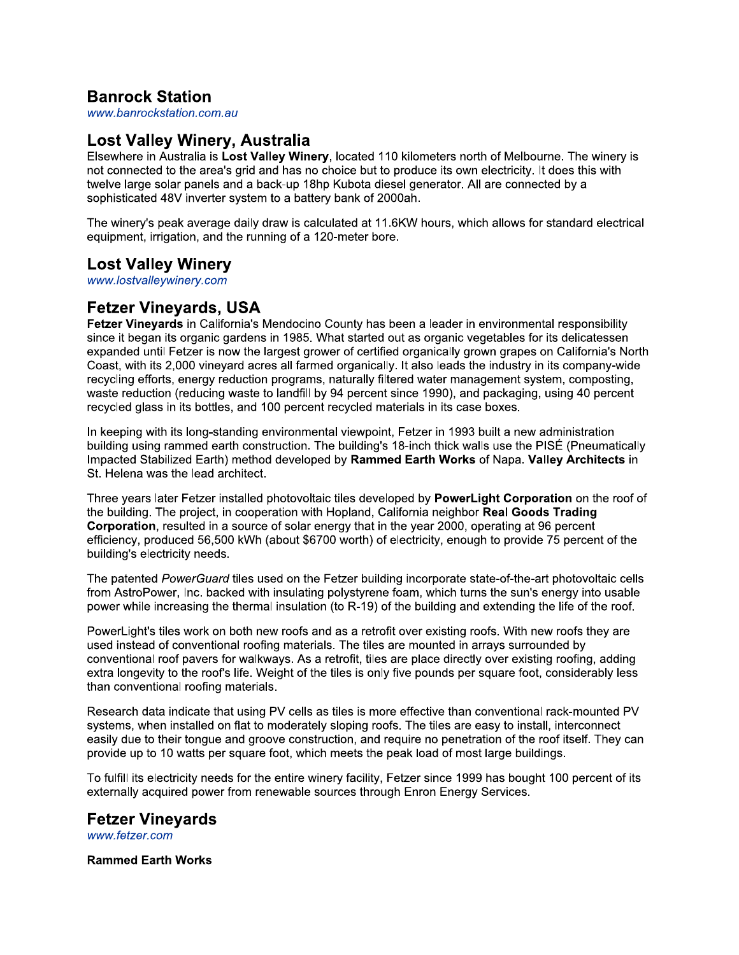# **Banrock Station**

www.banrockstation.com.au

## Lost Valley Winery, Australia

Elsewhere in Australia is Lost Valley Winery, located 110 kilometers north of Melbourne. The winery is not connected to the area's grid and has no choice but to produce its own electricity. It does this with twelve large solar panels and a back-up 18hp Kubota diesel generator. All are connected by a sophisticated 48V inverter system to a battery bank of 2000ah.

The winery's peak average daily draw is calculated at 11.6KW hours, which allows for standard electrical equipment, irrigation, and the running of a 120-meter bore.

# **Lost Valley Winery**

www.lostvalleywinery.com

# **Fetzer Vineyards, USA**

Fetzer Vineyards in California's Mendocino County has been a leader in environmental responsibility since it began its organic gardens in 1985. What started out as organic vegetables for its delicatessen expanded until Fetzer is now the largest grower of certified organically grown grapes on California's North Coast, with its 2,000 vineyard acres all farmed organically. It also leads the industry in its company-wide recycling efforts, energy reduction programs, naturally filtered water management system, composting, waste reduction (reducing waste to landfill by 94 percent since 1990), and packaging, using 40 percent recycled glass in its bottles, and 100 percent recycled materials in its case boxes.

In keeping with its long-standing environmental viewpoint, Fetzer in 1993 built a new administration building using rammed earth construction. The building's 18-inch thick walls use the PISÉ (Pneumatically Impacted Stabilized Earth) method developed by Rammed Earth Works of Napa. Valley Architects in St. Helena was the lead architect.

Three years later Fetzer installed photovoltaic tiles developed by PowerLight Corporation on the roof of the building. The project, in cooperation with Hopland, California neighbor Real Goods Trading Corporation, resulted in a source of solar energy that in the year 2000, operating at 96 percent efficiency, produced 56,500 kWh (about \$6700 worth) of electricity, enough to provide 75 percent of the building's electricity needs.

The patented PowerGuard tiles used on the Fetzer building incorporate state-of-the-art photovoltaic cells from AstroPower, Inc. backed with insulating polystyrene foam, which turns the sun's energy into usable power while increasing the thermal insulation (to R-19) of the building and extending the life of the roof.

PowerLight's tiles work on both new roofs and as a retrofit over existing roofs. With new roofs they are used instead of conventional roofing materials. The tiles are mounted in arrays surrounded by conventional roof payers for walkways. As a retrofit, tiles are place directly over existing roofing, adding extra longevity to the roof's life. Weight of the tiles is only five pounds per square foot, considerably less than conventional roofing materials.

Research data indicate that using PV cells as tiles is more effective than conventional rack-mounted PV systems, when installed on flat to moderately sloping roofs. The tiles are easy to install, interconnect easily due to their tongue and groove construction, and reguire no penetration of the roof itself. They can provide up to 10 watts per square foot, which meets the peak load of most large buildings.

To fulfill its electricity needs for the entire winery facility, Fetzer since 1999 has bought 100 percent of its externally acquired power from renewable sources through Enron Energy Services.

### **Fetzer Vineyards**

www.fetzer.com

#### **Rammed Earth Works**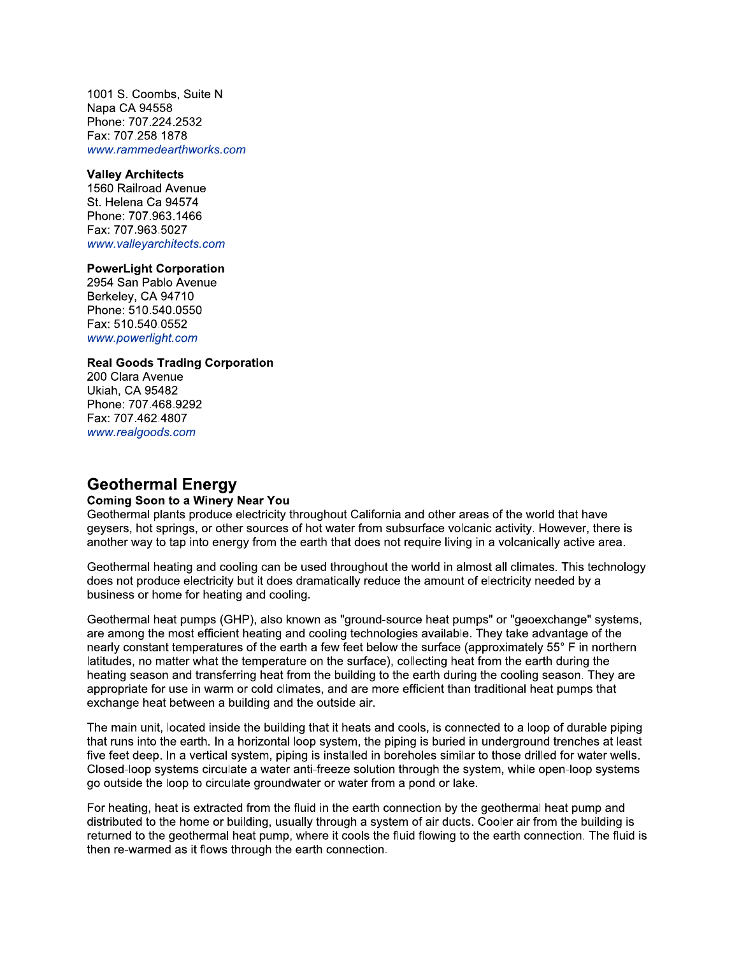1001 S. Coombs, Suite N Napa CA 94558 Phone: 707.224.2532 Fax: 707.258.1878 www.rammedearthworks.com

#### **Valley Architects**

1560 Railroad Avenue St. Helena Ca 94574 Phone: 707.963.1466 Fax: 707.963.5027 www.valleyarchitects.com

#### **PowerLight Corporation**

2954 San Pablo Avenue Berkeley, CA 94710 Phone: 510.540.0550 Fax: 510.540.0552 www.powerlight.com

#### **Real Goods Trading Corporation**

200 Clara Avenue **Ukiah, CA 95482** Phone: 707.468.9292 Fax: 707.462.4807 www.realgoods.com

## **Geothermal Energy**

#### **Coming Soon to a Winery Near You**

Geothermal plants produce electricity throughout California and other areas of the world that have geysers, hot springs, or other sources of hot water from subsurface volcanic activity. However, there is another way to tap into energy from the earth that does not require living in a volcanically active area.

Geothermal heating and cooling can be used throughout the world in almost all climates. This technology does not produce electricity but it does dramatically reduce the amount of electricity needed by a business or home for heating and cooling.

Geothermal heat pumps (GHP), also known as "ground-source heat pumps" or "geoexchange" systems, are among the most efficient heating and cooling technologies available. They take advantage of the nearly constant temperatures of the earth a few feet below the surface (approximately 55° F in northern latitudes, no matter what the temperature on the surface), collecting heat from the earth during the heating season and transferring heat from the building to the earth during the cooling season. They are appropriate for use in warm or cold climates, and are more efficient than traditional heat pumps that exchange heat between a building and the outside air.

The main unit, located inside the building that it heats and cools, is connected to a loop of durable piping that runs into the earth. In a horizontal loop system, the piping is buried in underground trenches at least five feet deep. In a vertical system, piping is installed in boreholes similar to those drilled for water wells. Closed-loop systems circulate a water anti-freeze solution through the system, while open-loop systems go outside the loop to circulate groundwater or water from a pond or lake.

For heating, heat is extracted from the fluid in the earth connection by the geothermal heat pump and distributed to the home or building, usually through a system of air ducts. Cooler air from the building is returned to the geothermal heat pump, where it cools the fluid flowing to the earth connection. The fluid is then re-warmed as it flows through the earth connection.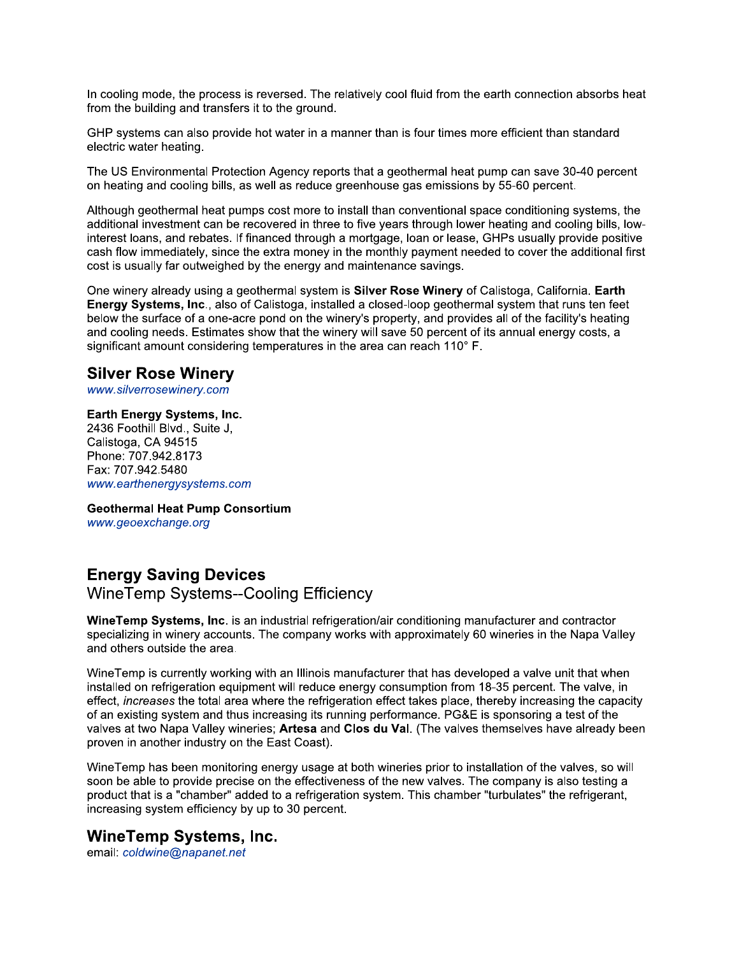In cooling mode, the process is reversed. The relatively cool fluid from the earth connection absorbs heat from the building and transfers it to the ground.

GHP systems can also provide hot water in a manner than is four times more efficient than standard electric water heating.

The US Environmental Protection Agency reports that a geothermal heat pump can save 30-40 percent on heating and cooling bills, as well as reduce greenhouse gas emissions by 55-60 percent.

Although geothermal heat pumps cost more to install than conventional space conditioning systems, the additional investment can be recovered in three to five years through lower heating and cooling bills, lowinterest loans, and rebates. If financed through a mortgage, loan or lease, GHPs usually provide positive cash flow immediately, since the extra money in the monthly payment needed to cover the additional first cost is usually far outweighed by the energy and maintenance savings.

One winery already using a geothermal system is Silver Rose Winery of Calistoga, California. Earth Energy Systems, Inc., also of Calistoga, installed a closed-loop geothermal system that runs ten feet below the surface of a one-acre pond on the winery's property, and provides all of the facility's heating and cooling needs. Estimates show that the winery will save 50 percent of its annual energy costs, a significant amount considering temperatures in the area can reach 110° F.

# **Silver Rose Winery**

www.silverrosewinery.com

#### Earth Energy Systems, Inc.

2436 Foothill Blvd., Suite J, Calistoga, CA 94515 Phone: 707.942.8173 Fax: 707.942.5480 www.earthenergysystems.com

**Geothermal Heat Pump Consortium** www.geoexchange.org

# **Energy Saving Devices**

**WineTemp Systems--Cooling Efficiency** 

WineTemp Systems, Inc. is an industrial refrigeration/air conditioning manufacturer and contractor specializing in winery accounts. The company works with approximately 60 wineries in the Napa Valley and others outside the area.

WineTemp is currently working with an Illinois manufacturer that has developed a valve unit that when installed on refrigeration equipment will reduce energy consumption from 18-35 percent. The valve, in effect, *increases* the total area where the refrigeration effect takes place, thereby increasing the capacity of an existing system and thus increasing its running performance. PG&E is sponsoring a test of the valves at two Napa Valley wineries; Artesa and Clos du Val. (The valves themselves have already been proven in another industry on the East Coast).

Wine Temp has been monitoring energy usage at both wineries prior to installation of the valves, so will soon be able to provide precise on the effectiveness of the new valves. The company is also testing a product that is a "chamber" added to a refrigeration system. This chamber "turbulates" the refrigerant, increasing system efficiency by up to 30 percent.

#### **WineTemp Systems, Inc.**

email: coldwine@napanet.net